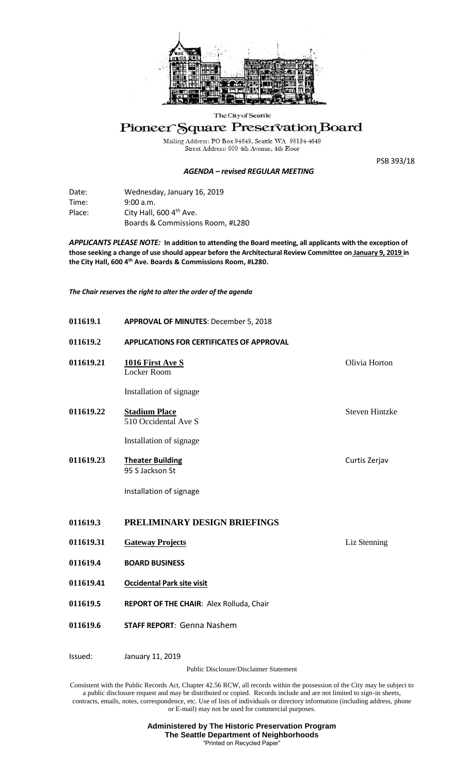

## The City of Seattle

## Pioneer Square Preservation Board

Mailing Address: PO Box 94649, Seattle WA 98124-4649<br>Street Address: 600 4th Avenue, 4th Floor

*AGENDA – revised REGULAR MEETING*

PSB 393/18

| Date:  | Wednesday, January 16, 2019         |
|--------|-------------------------------------|
| Time:  | 9:00 a.m.                           |
| Place: | City Hall, 600 4 <sup>th</sup> Ave. |
|        | Boards & Commissions Room, #L280    |

*APPLICANTS PLEASE NOTE:* **In addition to attending the Board meeting, all applicants with the exception of those seeking a change of use should appear before the Architectural Review Committee on January 9, 2019 in the City Hall, 600 4th Ave. Boards & Commissions Room, #L280.**

*The Chair reserves the right to alter the order of the agenda*

| 011619.1  | <b>APPROVAL OF MINUTES: December 5, 2018</b>                      |                       |
|-----------|-------------------------------------------------------------------|-----------------------|
| 011619.2  | APPLICATIONS FOR CERTIFICATES OF APPROVAL                         |                       |
| 011619.21 | 1016 First Ave S<br>Locker Room                                   | Olivia Horton         |
|           | Installation of signage                                           |                       |
| 011619.22 | <b>Stadium Place</b><br>510 Occidental Ave S                      | <b>Steven Hintzke</b> |
|           | Installation of signage                                           |                       |
| 011619.23 | <b>Theater Building</b><br>95 S Jackson St                        | Curtis Zerjav         |
|           | Installation of signage                                           |                       |
| 011619.3  | PRELIMINARY DESIGN BRIEFINGS                                      |                       |
| 011619.31 | <b>Gateway Projects</b>                                           | Liz Stenning          |
| 011619.4  | <b>BOARD BUSINESS</b>                                             |                       |
| 011619.41 | <b>Occidental Park site visit</b>                                 |                       |
| 011619.5  | REPORT OF THE CHAIR: Alex Rolluda, Chair                          |                       |
| 011619.6  | <b>STAFF REPORT: Genna Nashem</b>                                 |                       |
| Issued:   | January 11, 2019<br><b>Public Disclosure/Disclaimer Statement</b> |                       |

Consistent with the Public Records Act, Chapter 42.56 RCW, all records within the possession of the City may be subject to a public disclosure request and may be distributed or copied. Records include and are not limited to sign-in sheets, contracts, emails, notes, correspondence, etc. Use of lists of individuals or directory information (including address, phone or E-mail) may not be used for commercial purposes.

> **Administered by The Historic Preservation Program The Seattle Department of Neighborhoods** "Printed on Recycled Paper"